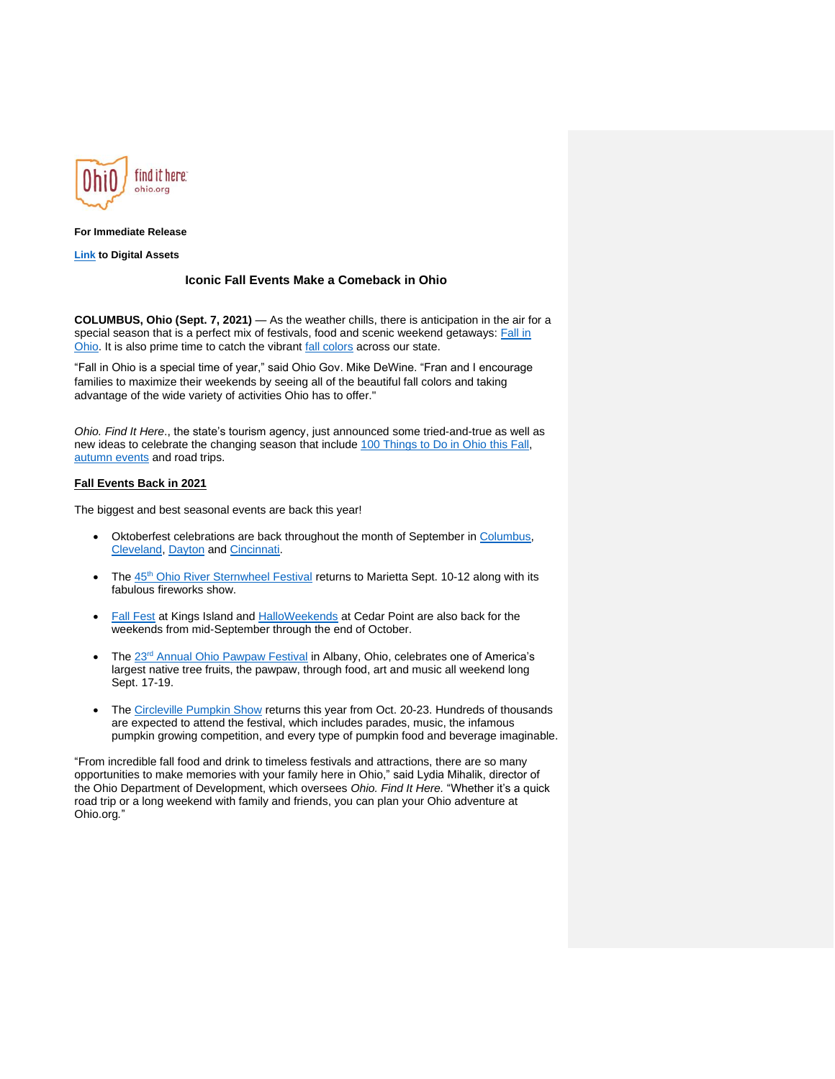

# **For Immediate Release**

**[Link](https://www.dropbox.com/sh/4keq3wmfahr7x27/AAAzgGFhAavNmbRa6yVBuFxja?dl=0) to Digital Assets**

### **Iconic Fall Events Make a Comeback in Ohio**

**COLUMBUS, Ohio (Sept. 7, 2021)** — As the weather chills, there is anticipation in the air for a special season that is a perfect mix of festivals, food and scenic weekend getaways: [Fall in](https://ohio.org/wps/portal/gov/tourism/home/seasons/fall)  [Ohio.](https://ohio.org/wps/portal/gov/tourism/home/seasons/fall) It is also prime time to catch the vibrant [fall colors](https://ohiodnr.gov/wps/portal/gov/odnr/go-and-do/see-the-sights/fall-color/) across our state.

"Fall in Ohio is a special time of year," said Ohio Gov. Mike DeWine. "Fran and I encourage families to maximize their weekends by seeing all of the beautiful fall colors and taking advantage of the wide variety of activities Ohio has to offer."

*Ohio. Find It Here*., the state's tourism agency, just announced some tried-and-true as well as new ideas to celebrate the changing season that include [100 Things to Do in Ohio this Fall,](https://ohio.org/wps/portal/gov/tourism/travel-inspiration/articles/100-things-to-do-in-ohio-this-fall) [autumn events](https://ohio.org/wps/portal/gov/tourism/travel-inspiration/articles/celebrate-fall-in-ohio) and road trips.

# **Fall Events Back in 2021**

The biggest and best seasonal events are back this year!

- Oktoberfest celebrations are back throughout the month of September in [Columbus,](https://columbusoktoberfest.com/) [Cleveland,](https://www.clevelandoktoberfest.com/) [Dayton](https://www.daytonartinstitute.org/upcoming-events/special-events/oktoberfest/) and [Cincinnati.](https://www.oktoberfestzinzinnati.com/)
- The 45<sup>th</sup> [Ohio River Sternwheel Festival](https://ohio-river-sternwheel-festival.myshopify.com/) returns to Marietta Sept. 10-12 along with its fabulous fireworks show.
- [Fall Fest](https://www.visitkingsisland.com/events/tricks-and-treats-fall-fest) at Kings Island and [HalloWeekends](https://www.cedarpoint.com/events/halloweekends) at Cedar Point are also back for the weekends from mid-September through the end of October.
- The 23<sup>rd</sup> [Annual Ohio Pawpaw Festival](https://www.ohiopawpawfest.com/) in Albany, Ohio, celebrates one of America's largest native tree fruits, the pawpaw, through food, art and music all weekend long Sept. 17-19.
- The [Circleville Pumpkin Show](https://www.pumpkinshow.com/) returns this year from Oct. 20-23. Hundreds of thousands are expected to attend the festival, which includes parades, music, the infamous pumpkin growing competition, and every type of pumpkin food and beverage imaginable.

"From incredible fall food and drink to timeless festivals and attractions, there are so many opportunities to make memories with your family here in Ohio," said Lydia Mihalik, director of the Ohio Department of Development, which oversees *Ohio. Find It Here.* "Whether it's a quick road trip or a long weekend with family and friends, you can plan your Ohio adventure at Ohio.org*.*"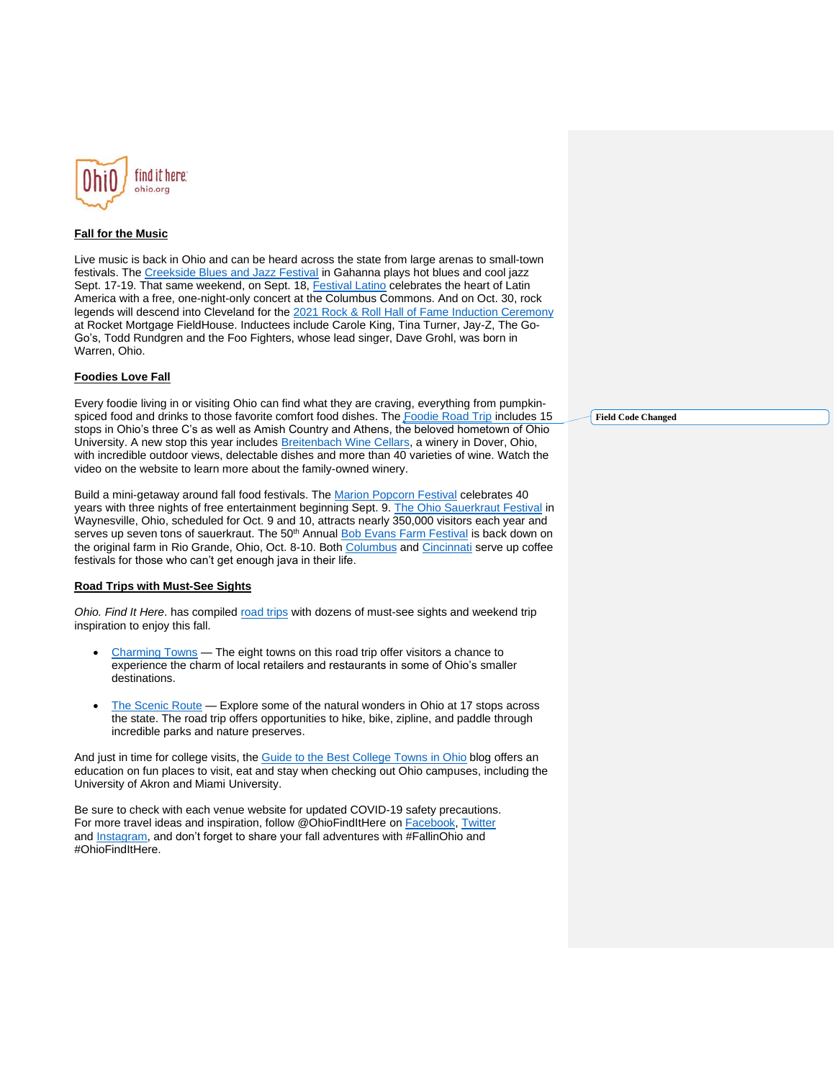

## **Fall for the Music**

Live music is back in Ohio and can be heard across the state from large arenas to small-town festivals. The [Creekside Blues and Jazz Festival](https://www.creeksidebluesandjazz.com/) in Gahanna plays hot blues and cool jazz Sept. 17-19. That same weekend, on Sept. 18, [Festival Latino](https://viva.festivallatino.net/) celebrates the heart of Latin America with a free, one-night-only concert at the Columbus Commons. And on Oct. 30, rock legends will descend into Cleveland for the 2021 Rock & Roll [Hall of Fame Induction Ceremony](https://www.rockhall.com/class-2021-inductees) at Rocket Mortgage FieldHouse. Inductees include Carole King, Tina Turner, Jay-Z, The Go-Go's, Todd Rundgren and the Foo Fighters, whose lead singer, Dave Grohl, was born in Warren, Ohio.

### **Foodies Love Fall**

Every foodie living in or visiting Ohio can find what they are craving, everything from pumpkin-spiced food and drinks to those favorite comfort food dishes. The [Foodie Road Trip](https://www.youtube.com/watch?v=oKXdOmykheA) includes 15 stops in Ohio's three C's as well as Amish Country and Athens, the beloved hometown of Ohio University. A new stop this year includes **Breitenbach Wine Cellars**, a winery in Dover, Ohio, with incredible outdoor views, delectable dishes and more than 40 varieties of wine. Watch the video on the website to learn more about the family-owned winery.

Build a mini-getaway around fall food festivals. The [Marion Popcorn Festival](https://www.popcornfestival.com/) celebrates 40 years with three nights of free entertainment beginning Sept. 9. [The Ohio Sauerkraut Festival](https://sauerkrautfestival.waynesvilleohio.com/about/history-of-the-sauerkraut-festival-4/) in Waynesville, Ohio, scheduled for Oct. 9 and 10, attracts nearly 350,000 visitors each year and serves up seven tons of sauerkraut. The 50<sup>th</sup> Annual **Bob Evans Farm Festival** is back down on the original farm in Rio Grande, Ohio, Oct. 8-10. Both [Columbus](http://www.columbuscoffeefest.com/) and [Cincinnati](http://cincinnaticoffeefestival.com/) serve up coffee festivals for those who can't get enough java in their life.

#### **Road Trips with Must-See Sights**

*Ohio. Find It Here*. has compiled [road trips](https://roadtrips.ohio.org/wps/portal/gov/roadtrips/home) with dozens of must-see sights and weekend trip inspiration to enjoy this fall.

- [Charming Towns](https://roadtrips.ohio.org/wps/portal/gov/roadtrips/trips/charming-towns/trip-stops) The eight towns on this road trip offer visitors a chance to experience the charm of local retailers and restaurants in some of Ohio's smaller destinations.
- [The Scenic Route](https://roadtrips.ohio.org/wps/portal/gov/roadtrips/trips/the-scenic-route) Explore some of the natural wonders in Ohio at 17 stops across the state. The road trip offers opportunities to hike, bike, zipline, and paddle through incredible parks and nature preserves.

And just in time for college visits, the [Guide to the Best College Towns in Ohio](https://ohio.org/wps/portal/gov/tourism/travel-inspiration/articles/your-guide-to-the-best-college-towns-in-ohio) blog offers an education on fun places to visit, eat and stay when checking out Ohio campuses, including the University of Akron and Miami University.

Be sure to check with each venue website for updated COVID-19 safety precautions. For more travel ideas and inspiration, follow @OhioFindItHere on [Facebook,](https://www.facebook.com/OhioFindItHere/) [Twitter](https://twitter.com/OhioFindItHere) and [Instagram,](https://www.instagram.com/ohio.findithere/) and don't forget to share your fall adventures with #FallinOhio and #OhioFindItHere.

**Field Code Changed**